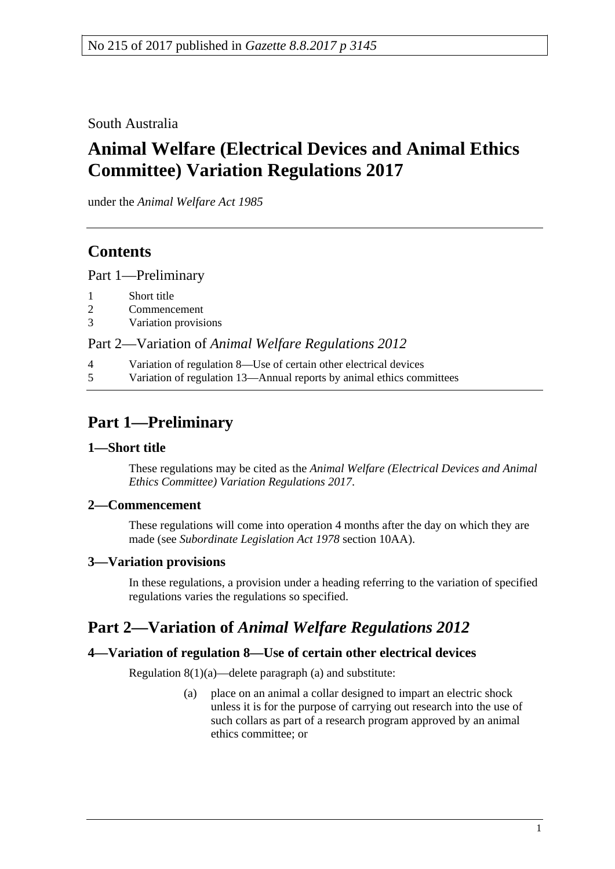# South Australia

# **Animal Welfare (Electrical Devices and Animal Ethics Committee) Variation Regulations 2017**

under the *Animal Welfare Act 1985*

# **Contents**

Part [1—Preliminary](#page-0-0)

- 2 [Commencement](#page-0-2)
- 3 [Variation provisions](#page-0-3)

### Part 2—Variation of *[Animal Welfare Regulations](#page-0-4) 2012*

- 4 [Variation of regulation 8—Use of certain other electrical devices](#page-0-5)
- 5 [Variation of regulation 13—Annual reports by animal ethics committees](#page-1-0)

# <span id="page-0-0"></span>**Part 1—Preliminary**

## <span id="page-0-1"></span>**1—Short title**

These regulations may be cited as the *Animal Welfare (Electrical Devices and Animal Ethics Committee) Variation Regulations 2017*.

#### <span id="page-0-2"></span>**2—Commencement**

These regulations will come into operation 4 months after the day on which they are made (see *[Subordinate Legislation Act](http://www.legislation.sa.gov.au/index.aspx?action=legref&type=act&legtitle=Subordinate%20Legislation%20Act%201978) 1978* section 10AA).

## <span id="page-0-3"></span>**3—Variation provisions**

In these regulations, a provision under a heading referring to the variation of specified regulations varies the regulations so specified.

# <span id="page-0-4"></span>**Part 2—Variation of** *Animal Welfare Regulations 2012*

## <span id="page-0-5"></span>**4—Variation of regulation 8—Use of certain other electrical devices**

Regulation  $8(1)(a)$ —delete paragraph  $(a)$  and substitute:

(a) place on an animal a collar designed to impart an electric shock unless it is for the purpose of carrying out research into the use of such collars as part of a research program approved by an animal ethics committee; or